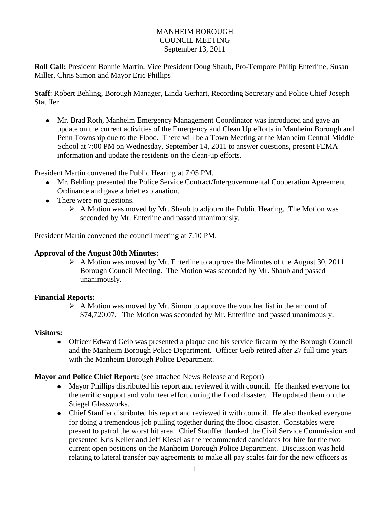### MANHEIM BOROUGH COUNCIL MEETING September 13, 2011

**Roll Call:** President Bonnie Martin, Vice President Doug Shaub, Pro-Tempore Philip Enterline, Susan Miller, Chris Simon and Mayor Eric Phillips

**Staff**: Robert Behling, Borough Manager, Linda Gerhart, Recording Secretary and Police Chief Joseph **Stauffer** 

Mr. Brad Roth, Manheim Emergency Management Coordinator was introduced and gave an update on the current activities of the Emergency and Clean Up efforts in Manheim Borough and Penn Township due to the Flood. There will be a Town Meeting at the Manheim Central Middle School at 7:00 PM on Wednesday, September 14, 2011 to answer questions, present FEMA information and update the residents on the clean-up efforts.

President Martin convened the Public Hearing at 7:05 PM.

- Mr. Behling presented the Police Service Contract/Intergovernmental Cooperation Agreement Ordinance and gave a brief explanation.
- There were no questions.
	- $\triangleright$  A Motion was moved by Mr. Shaub to adjourn the Public Hearing. The Motion was seconded by Mr. Enterline and passed unanimously.

President Martin convened the council meeting at 7:10 PM.

### **Approval of the August 30th Minutes:**

 $\triangleright$  A Motion was moved by Mr. Enterline to approve the Minutes of the August 30, 2011 Borough Council Meeting. The Motion was seconded by Mr. Shaub and passed unanimously.

### **Financial Reports:**

 $\triangleright$  A Motion was moved by Mr. Simon to approve the voucher list in the amount of \$74,720.07. The Motion was seconded by Mr. Enterline and passed unanimously.

### **Visitors:**

Officer Edward Geib was presented a plaque and his service firearm by the Borough Council and the Manheim Borough Police Department. Officer Geib retired after 27 full time years with the Manheim Borough Police Department.

### **Mayor and Police Chief Report:** (see attached News Release and Report)

- Mayor Phillips distributed his report and reviewed it with council. He thanked everyone for the terrific support and volunteer effort during the flood disaster. He updated them on the Stiegel Glassworks.
- Chief Stauffer distributed his report and reviewed it with council. He also thanked everyone for doing a tremendous job pulling together during the flood disaster. Constables were present to patrol the worst hit area. Chief Stauffer thanked the Civil Service Commission and presented Kris Keller and Jeff Kiesel as the recommended candidates for hire for the two current open positions on the Manheim Borough Police Department. Discussion was held relating to lateral transfer pay agreements to make all pay scales fair for the new officers as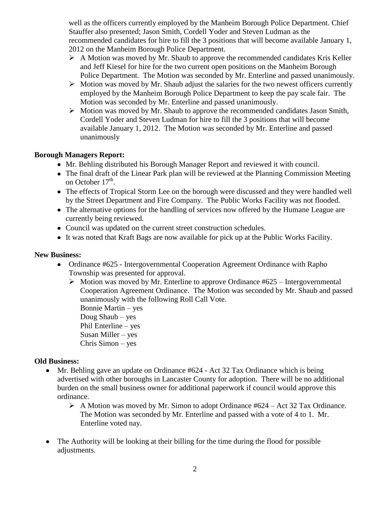well as the officers currently employed by the Manheim Borough Police Department. Chief Stauffer also presented; Jason Smith, Cordell Yoder and Steven Ludman as the recommended candidates for hire to fill the 3 positions that will become available January 1, 2012 on the Manheim Borough Police Department.

- $\triangleright$  A Motion was moved by Mr. Shaub to approve the recommended candidates Kris Keller and Jeff Kiesel for hire for the two current open positions on the Manheim Borough Police Department. The Motion was seconded by Mr. Enterline and passed unanimously.
- $\triangleright$  Motion was moved by Mr. Shaub adjust the salaries for the two newest officers currently employed by the Manheim Borough Police Department to keep the pay scale fair. The Motion was seconded by Mr. Enterline and passed unanimously.
- $\triangleright$  Motion was moved by Mr. Shaub to approve the recommended candidates Jason Smith, Cordell Yoder and Steven Ludman for hire to fill the 3 positions that will become available January 1, 2012. The Motion was seconded by Mr. Enterline and passed unanimously

# **Borough Managers Report:**

- Mr. Behling distributed his Borough Manager Report and reviewed it with council.
- The final draft of the Linear Park plan will be reviewed at the Planning Commission Meeting on October 17<sup>th</sup>.
- The effects of Tropical Storm Lee on the borough were discussed and they were handled well by the Street Department and Fire Company. The Public Works Facility was not flooded.
- The alternative options for the handling of services now offered by the Humane League are currently being reviewed.
- Council was updated on the current street construction schedules.
- It was noted that Kraft Bags are now available for pick up at the Public Works Facility.

### **New Business:**

- Ordinance #625 Intergovernmental Cooperation Agreement Ordinance with Rapho Township was presented for approval.
	- $\triangleright$  Motion was moved by Mr. Enterline to approve Ordinance #625 Intergovernmental Cooperation Agreement Ordinance. The Motion was seconded by Mr. Shaub and passed unanimously with the following Roll Call Vote.

Bonnie Martin – yes Doug Shaub – yes Phil Enterline – yes Susan Miller – yes Chris Simon – yes

## **Old Business:**

- Mr. Behling gave an update on Ordinance #624 Act 32 Tax Ordinance which is being  $\bullet$ advertised with other boroughs in Lancaster County for adoption. There will be no additional burden on the small business owner for additional paperwork if council would approve this ordinance.
	- $\triangleright$  A Motion was moved by Mr. Simon to adopt Ordinance #624 Act 32 Tax Ordinance. The Motion was seconded by Mr. Enterline and passed with a vote of 4 to 1. Mr. Enterline voted nay.
- The Authority will be looking at their billing for the time during the flood for possible adjustments.